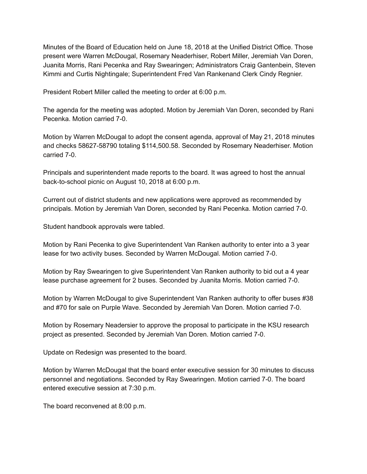Minutes of the Board of Education held on June 18, 2018 at the Unified District Office. Those present were Warren McDougal, Rosemary Neaderhiser, Robert Miller, Jeremiah Van Doren, Juanita Morris, Rani Pecenka and Ray Swearingen; Administrators Craig Gantenbein, Steven Kimmi and Curtis Nightingale; Superintendent Fred Van Rankenand Clerk Cindy Regnier.

President Robert Miller called the meeting to order at 6:00 p.m.

The agenda for the meeting was adopted. Motion by Jeremiah Van Doren, seconded by Rani Pecenka. Motion carried 7-0.

Motion by Warren McDougal to adopt the consent agenda, approval of May 21, 2018 minutes and checks 58627-58790 totaling \$114,500.58. Seconded by Rosemary Neaderhiser. Motion carried 7-0.

Principals and superintendent made reports to the board. It was agreed to host the annual back-to-school picnic on August 10, 2018 at 6:00 p.m.

Current out of district students and new applications were approved as recommended by principals. Motion by Jeremiah Van Doren, seconded by Rani Pecenka. Motion carried 7-0.

Student handbook approvals were tabled.

Motion by Rani Pecenka to give Superintendent Van Ranken authority to enter into a 3 year lease for two activity buses. Seconded by Warren McDougal. Motion carried 7-0.

Motion by Ray Swearingen to give Superintendent Van Ranken authority to bid out a 4 year lease purchase agreement for 2 buses. Seconded by Juanita Morris. Motion carried 7-0.

Motion by Warren McDougal to give Superintendent Van Ranken authority to offer buses #38 and #70 for sale on Purple Wave. Seconded by Jeremiah Van Doren. Motion carried 7-0.

Motion by Rosemary Neadersier to approve the proposal to participate in the KSU research project as presented. Seconded by Jeremiah Van Doren. Motion carried 7-0.

Update on Redesign was presented to the board.

Motion by Warren McDougal that the board enter executive session for 30 minutes to discuss personnel and negotiations. Seconded by Ray Swearingen. Motion carried 70. The board entered executive session at 7:30 p.m.

The board reconvened at 8:00 p.m.